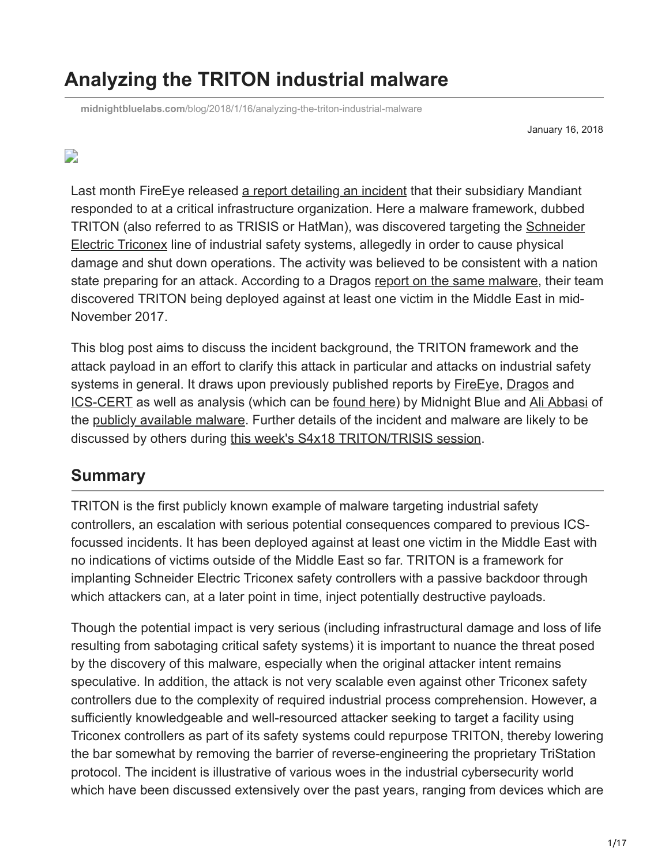# **Analyzing the TRITON industrial malware**

**midnightbluelabs.com**[/blog/2018/1/16/analyzing-the-triton-industrial-malware](https://www.midnightbluelabs.com/blog/2018/1/16/analyzing-the-triton-industrial-malware)

January 16, 2018

#### $\overline{\phantom{a}}$

Last month FireEye released [a report detailing an incident](https://www.fireeye.com/blog/threat-research/2017/12/attackers-deploy-new-ics-attack-framework-triton.html) that their subsidiary Mandiant responded to at a critical infrastructure organization. Here a malware framework, dubbed [TRITON \(also referred to as TRISIS or HatMan\), was discovered targeting the Schneider](https://www.schneider-electric.com/en/work/products/industrial-automation-control/triconex-safety-systems/) Electric Triconex line of industrial safety systems, allegedly in order to cause physical damage and shut down operations. The activity was believed to be consistent with a nation state preparing for an attack. According to a Dragos [report on the same malware,](https://dragos.com/blog/trisis/TRISIS-01.pdf) their team discovered TRITON being deployed against at least one victim in the Middle East in mid-November 2017.

This blog post aims to discuss the incident background, the TRITON framework and the attack payload in an effort to clarify this attack in particular and attacks on industrial safety systems in general. It draws upon previously published reports by **FireEye**, [Dragos](https://dragos.com/blog/trisis/TRISIS-01.pdf) and **ICS-CERT** as well as analysis (which can be [found here](https://github.com/samvartaka/triton_analysis)) by Midnight Blue and [Ali Abbasi](https://twitter.com/bl4ckic3) of the [publicly available malware](https://github.com/ICSrepo/TRISIS-TRITON-HATMAN). Further details of the incident and malware are likely to be discussed by others during [this week's S4x18 TRITON/TRISIS session](https://s4x18.com/sessions/aurora-10-years-later-progress-failure-what-remains-to-be-learned).

#### **Summary**

TRITON is the first publicly known example of malware targeting industrial safety controllers, an escalation with serious potential consequences compared to previous ICSfocussed incidents. It has been deployed against at least one victim in the Middle East with no indications of victims outside of the Middle East so far. TRITON is a framework for implanting Schneider Electric Triconex safety controllers with a passive backdoor through which attackers can, at a later point in time, inject potentially destructive payloads.

Though the potential impact is very serious (including infrastructural damage and loss of life resulting from sabotaging critical safety systems) it is important to nuance the threat posed by the discovery of this malware, especially when the original attacker intent remains speculative. In addition, the attack is not very scalable even against other Triconex safety controllers due to the complexity of required industrial process comprehension. However, a sufficiently knowledgeable and well-resourced attacker seeking to target a facility using Triconex controllers as part of its safety systems could repurpose TRITON, thereby lowering the bar somewhat by removing the barrier of reverse-engineering the proprietary TriStation protocol. The incident is illustrative of various woes in the industrial cybersecurity world which have been discussed extensively over the past years, ranging from devices which are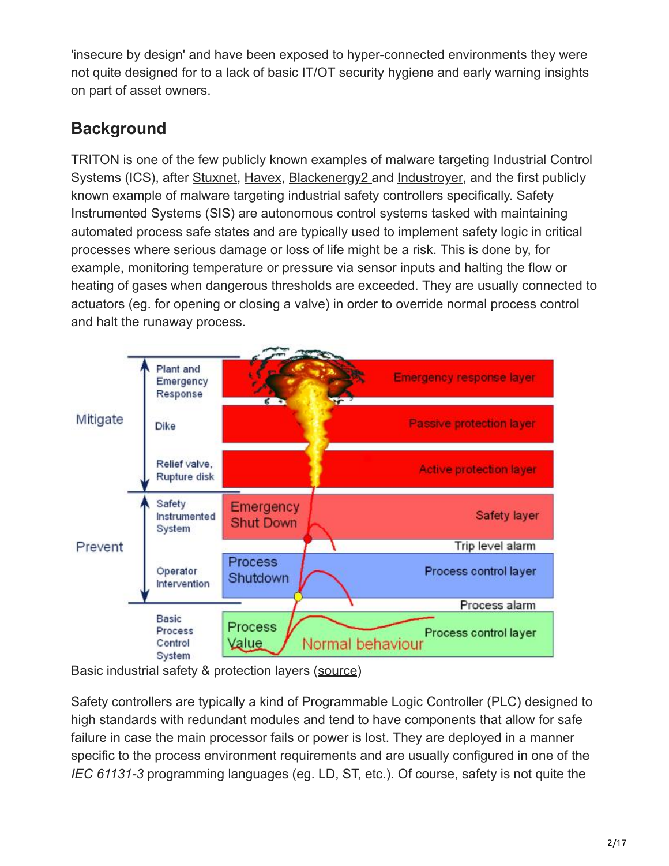'insecure by design' and have been exposed to hyper-connected environments they were not quite designed for to a lack of basic IT/OT security hygiene and early warning insights on part of asset owners.

## **Background**

TRITON is one of the few publicly known examples of malware targeting Industrial Control Systems (ICS), after [Stuxnet](http://www.symantec.com/content/en/us/enterprise/media/security_response/whitepapers/w32_stuxnet_dossier.pdf), [Havex,](https://www.symantec.com/content/en/us/enterprise/media/security_response/whitepapers/Dragonfly_Threat_Against_Western_Energy_Suppliers.pdf) [Blackenergy2](https://www.iod.org.nz/Portals/0/Branches%20and%20events/Canterbury/BOOZ%20ALLEN%20-%20When%20the%20Lights%20Went%20Out.pdf) and [Industroyer,](https://dragos.com/blog/crashoverride/CrashOverride-01.pdf) and the first publicly known example of malware targeting industrial safety controllers specifically. Safety Instrumented Systems (SIS) are autonomous control systems tasked with maintaining automated process safe states and are typically used to implement safety logic in critical processes where serious damage or loss of life might be a risk. This is done by, for example, monitoring temperature or pressure via sensor inputs and halting the flow or heating of gases when dangerous thresholds are exceeded. They are usually connected to actuators (eg. for opening or closing a valve) in order to override normal process control and halt the runaway process.



Basic industrial safety & protection layers ([source](http://www.pacontrol.com/safetysystems.html))

Safety controllers are typically a kind of Programmable Logic Controller (PLC) designed to high standards with redundant modules and tend to have components that allow for safe failure in case the main processor fails or power is lost. They are deployed in a manner specific to the process environment requirements and are usually configured in one of the *IEC 61131-3* programming languages (eg. LD, ST, etc.). Of course, safety is not quite the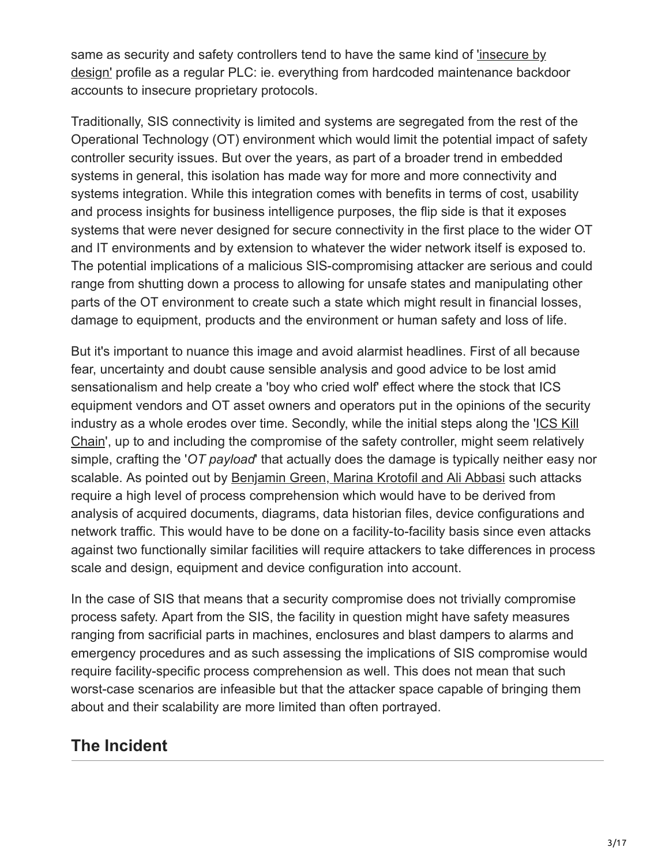[same as security and safety controllers tend to have the same kind of 'insecure by](http://www.digitalbond.com/blog/2013/11/04/insecure-by-design-secure-by-design/) design' profile as a regular PLC: ie. everything from hardcoded maintenance backdoor accounts to insecure proprietary protocols.

Traditionally, SIS connectivity is limited and systems are segregated from the rest of the Operational Technology (OT) environment which would limit the potential impact of safety controller security issues. But over the years, as part of a broader trend in embedded systems in general, this isolation has made way for more and more connectivity and systems integration. While this integration comes with benefits in terms of cost, usability and process insights for business intelligence purposes, the flip side is that it exposes systems that were never designed for secure connectivity in the first place to the wider OT and IT environments and by extension to whatever the wider network itself is exposed to. The potential implications of a malicious SIS-compromising attacker are serious and could range from shutting down a process to allowing for unsafe states and manipulating other parts of the OT environment to create such a state which might result in financial losses, damage to equipment, products and the environment or human safety and loss of life.

But it's important to nuance this image and avoid alarmist headlines. First of all because fear, uncertainty and doubt cause sensible analysis and good advice to be lost amid sensationalism and help create a 'boy who cried wolf' effect where the stock that ICS equipment vendors and OT asset owners and operators put in the opinions of the security [industry as a whole erodes over time. Secondly, while the initial steps along the 'ICS Kill](https://www.sans.org/reading-room/whitepapers/ICS/industrial-control-system-cyber-kill-chain-36297) Chain', up to and including the compromise of the safety controller, might seem relatively simple, crafting the '*OT payload*' that actually does the damage is typically neither easy nor scalable. As pointed out by [Benjamin Green, Marina Krotofil and Ali Abbasi](http://eprints.lancs.ac.uk/88089/1/sample_sigconf.pdf) such attacks require a high level of process comprehension which would have to be derived from analysis of acquired documents, diagrams, data historian files, device configurations and network traffic. This would have to be done on a facility-to-facility basis since even attacks against two functionally similar facilities will require attackers to take differences in process scale and design, equipment and device configuration into account.

In the case of SIS that means that a security compromise does not trivially compromise process safety. Apart from the SIS, the facility in question might have safety measures ranging from sacrificial parts in machines, enclosures and blast dampers to alarms and emergency procedures and as such assessing the implications of SIS compromise would require facility-specific process comprehension as well. This does not mean that such worst-case scenarios are infeasible but that the attacker space capable of bringing them about and their scalability are more limited than often portrayed.

## **The Incident**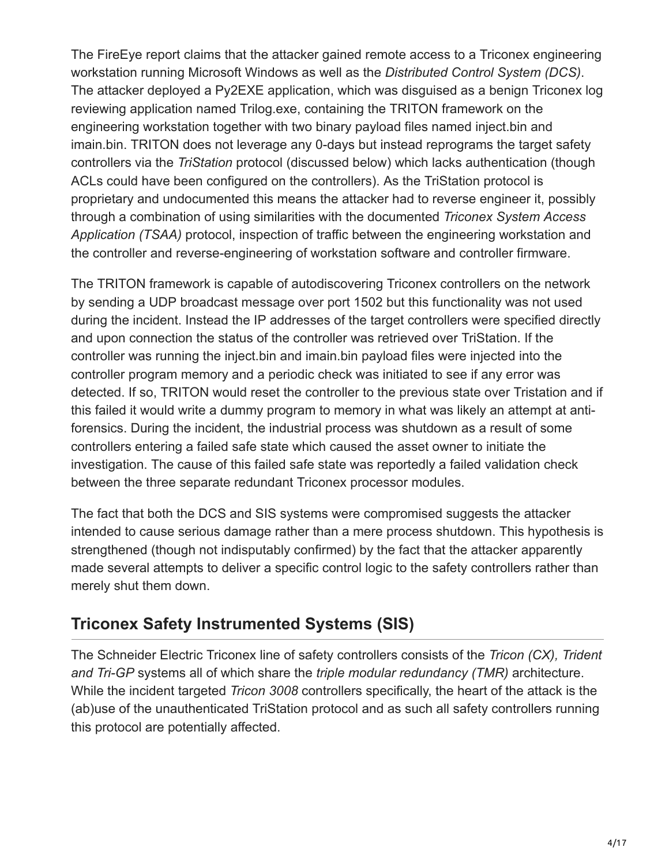The FireEye report claims that the attacker gained remote access to a Triconex engineering workstation running Microsoft Windows as well as the *Distributed Control System (DCS)*. The attacker deployed a Py2EXE application, which was disguised as a benign Triconex log reviewing application named Trilog.exe, containing the TRITON framework on the engineering workstation together with two binary payload files named inject.bin and imain.bin. TRITON does not leverage any 0-days but instead reprograms the target safety controllers via the *TriStation* protocol (discussed below) which lacks authentication (though ACLs could have been configured on the controllers). As the TriStation protocol is proprietary and undocumented this means the attacker had to reverse engineer it, possibly through a combination of using similarities with the documented *Triconex System Access Application (TSAA)* protocol, inspection of traffic between the engineering workstation and the controller and reverse-engineering of workstation software and controller firmware.

The TRITON framework is capable of autodiscovering Triconex controllers on the network by sending a UDP broadcast message over port 1502 but this functionality was not used during the incident. Instead the IP addresses of the target controllers were specified directly and upon connection the status of the controller was retrieved over TriStation. If the controller was running the inject.bin and imain.bin payload files were injected into the controller program memory and a periodic check was initiated to see if any error was detected. If so, TRITON would reset the controller to the previous state over Tristation and if this failed it would write a dummy program to memory in what was likely an attempt at antiforensics. During the incident, the industrial process was shutdown as a result of some controllers entering a failed safe state which caused the asset owner to initiate the investigation. The cause of this failed safe state was reportedly a failed validation check between the three separate redundant Triconex processor modules.

The fact that both the DCS and SIS systems were compromised suggests the attacker intended to cause serious damage rather than a mere process shutdown. This hypothesis is strengthened (though not indisputably confirmed) by the fact that the attacker apparently made several attempts to deliver a specific control logic to the safety controllers rather than merely shut them down.

## **Triconex Safety Instrumented Systems (SIS)**

The Schneider Electric Triconex line of safety controllers consists of the *Tricon (CX), Trident and Tri-GP* systems all of which share the *triple modular redundancy (TMR)* architecture. While the incident targeted *Tricon 3008* controllers specifically, the heart of the attack is the (ab)use of the unauthenticated TriStation protocol and as such all safety controllers running this protocol are potentially affected.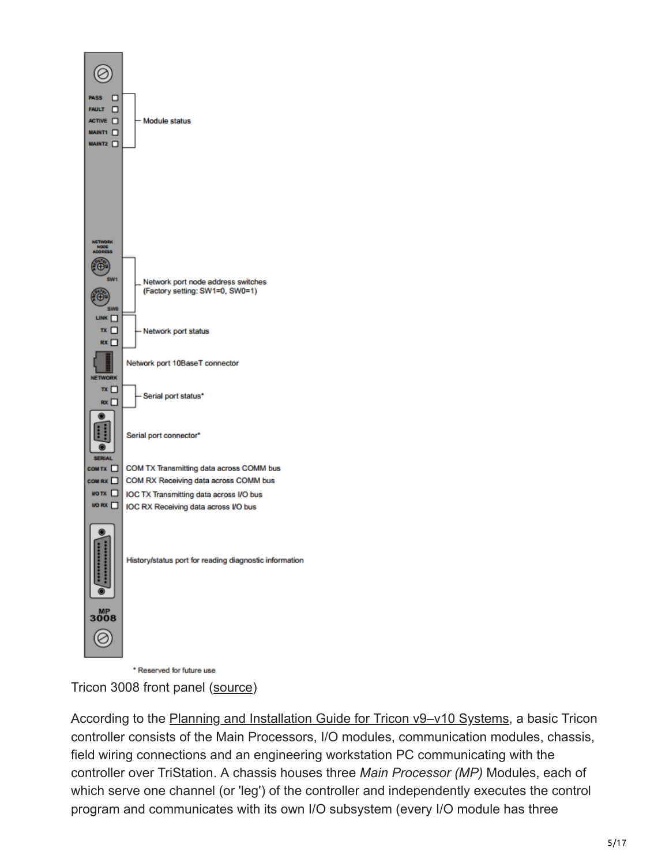

\* Reserved for future use

Tricon 3008 front panel [\(source](https://www.nrc.gov/docs/ML0932/ML093290420.pdf))

According to the Planning and Installation Guide for Tricon v9-v10 Systems, a basic Tricon controller consists of the Main Processors, I/O modules, communication modules, chassis, field wiring connections and an engineering workstation PC communicating with the controller over TriStation. A chassis houses three *Main Processor (MP)* Modules, each of which serve one channel (or 'leg') of the controller and independently executes the control program and communicates with its own I/O subsystem (every I/O module has three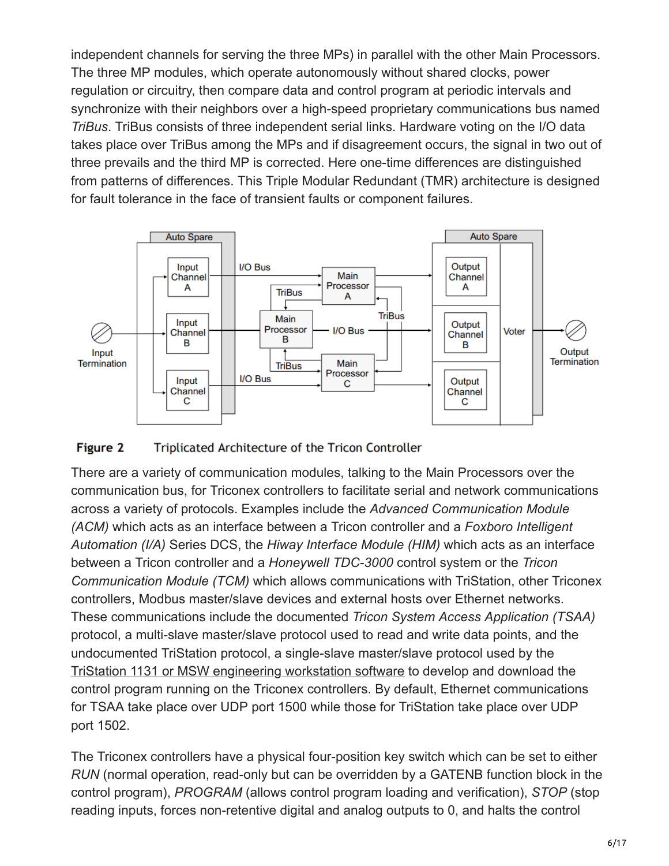independent channels for serving the three MPs) in parallel with the other Main Processors. The three MP modules, which operate autonomously without shared clocks, power regulation or circuitry, then compare data and control program at periodic intervals and synchronize with their neighbors over a high-speed proprietary communications bus named *TriBus*. TriBus consists of three independent serial links. Hardware voting on the I/O data takes place over TriBus among the MPs and if disagreement occurs, the signal in two out of three prevails and the third MP is corrected. Here one-time differences are distinguished from patterns of differences. This Triple Modular Redundant (TMR) architecture is designed for fault tolerance in the face of transient faults or component failures.



#### **Figure 2** Triplicated Architecture of the Tricon Controller

There are a variety of communication modules, talking to the Main Processors over the communication bus, for Triconex controllers to facilitate serial and network communications across a variety of protocols. Examples include the *Advanced Communication Module (ACM)* which acts as an interface between a Tricon controller and a *Foxboro Intelligent Automation (I/A)* Series DCS, the *Hiway Interface Module (HIM)* which acts as an interface between a Tricon controller and a *Honeywell TDC-3000* control system or the *Tricon Communication Module (TCM)* which allows communications with TriStation, other Triconex controllers, Modbus master/slave devices and external hosts over Ethernet networks. These communications include the documented *Tricon System Access Application (TSAA)* protocol, a multi-slave master/slave protocol used to read and write data points, and the undocumented TriStation protocol, a single-slave master/slave protocol used by the [TriStation 1131 or MSW engineering workstation software](https://www.nrc.gov/docs/ML0932/ML093290423.pdf) to develop and download the control program running on the Triconex controllers. By default, Ethernet communications for TSAA take place over UDP port 1500 while those for TriStation take place over UDP port 1502.

The Triconex controllers have a physical four-position key switch which can be set to either *RUN* (normal operation, read-only but can be overridden by a GATENB function block in the control program), *PROGRAM* (allows control program loading and verification), *STOP* (stop reading inputs, forces non-retentive digital and analog outputs to 0, and halts the control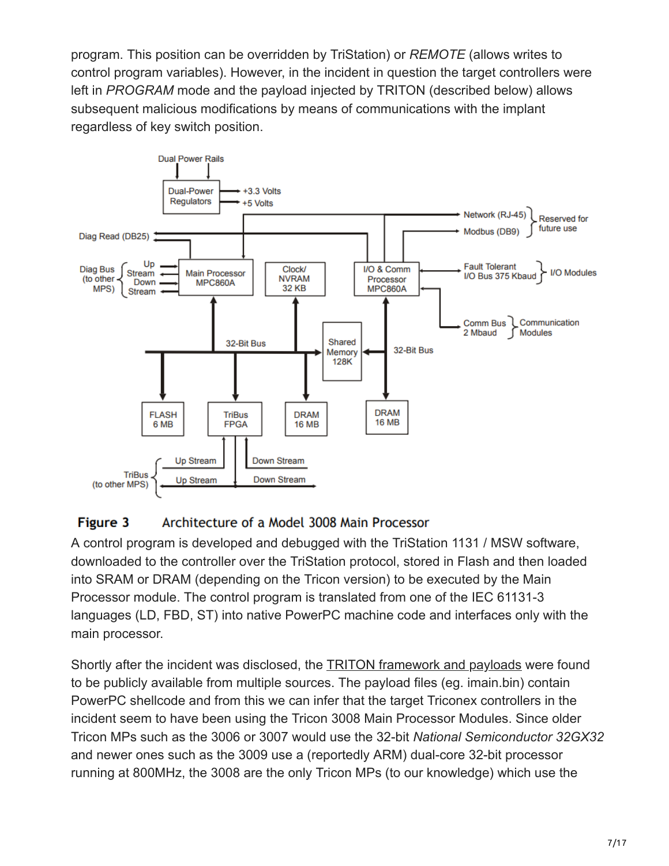program. This position can be overridden by TriStation) or *REMOTE* (allows writes to control program variables). However, in the incident in question the target controllers were left in *PROGRAM* mode and the payload injected by TRITON (described below) allows subsequent malicious modifications by means of communications with the implant regardless of key switch position.



#### Figure 3 Architecture of a Model 3008 Main Processor

A control program is developed and debugged with the TriStation 1131 / MSW software, downloaded to the controller over the TriStation protocol, stored in Flash and then loaded into SRAM or DRAM (depending on the Tricon version) to be executed by the Main Processor module. The control program is translated from one of the IEC 61131-3 languages (LD, FBD, ST) into native PowerPC machine code and interfaces only with the main processor.

Shortly after the incident was disclosed, the [TRITON framework and payloads](https://github.com/ICSrepo/TRISIS-TRITON-HATMAN) were found to be publicly available from multiple sources. The payload files (eg. imain.bin) contain PowerPC shellcode and from this we can infer that the target Triconex controllers in the incident seem to have been using the Tricon 3008 Main Processor Modules. Since older Tricon MPs such as the 3006 or 3007 would use the 32-bit *National Semiconductor 32GX32* and newer ones such as the 3009 use a (reportedly ARM) dual-core 32-bit processor running at 800MHz, the 3008 are the only Tricon MPs (to our knowledge) which use the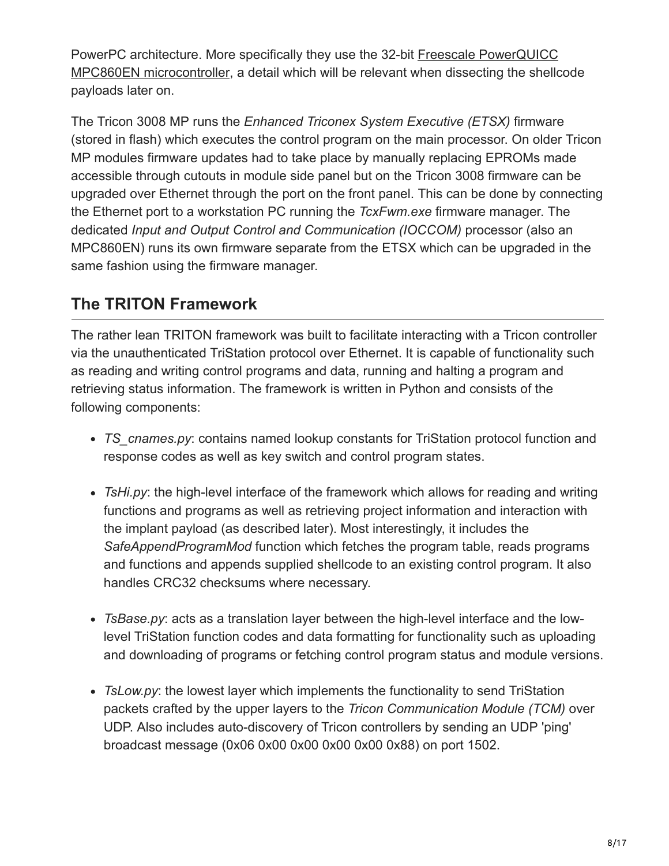PowerPC architecture. More specifically they use the 32-bit Freescale PowerQUICC [MPC860EN microcontroller, a detail which will be relevant when dissecting the shellc](https://www.nxp.com/products/processors-and-microcontrollers/power-architecture-processors/powerquicc-processors/powerquicc-i/mpc860-powerquicc-processor:MPC860)ode payloads later on.

The Tricon 3008 MP runs the *Enhanced Triconex System Executive (ETSX)* firmware (stored in flash) which executes the control program on the main processor. On older Tricon MP modules firmware updates had to take place by manually replacing EPROMs made accessible through cutouts in module side panel but on the Tricon 3008 firmware can be upgraded over Ethernet through the port on the front panel. This can be done by connecting the Ethernet port to a workstation PC running the *TcxFwm.exe* firmware manager. The dedicated *Input and Output Control and Communication (IOCCOM)* processor (also an MPC860EN) runs its own firmware separate from the ETSX which can be upgraded in the same fashion using the firmware manager.

## **The TRITON Framework**

The rather lean TRITON framework was built to facilitate interacting with a Tricon controller via the unauthenticated TriStation protocol over Ethernet. It is capable of functionality such as reading and writing control programs and data, running and halting a program and retrieving status information. The framework is written in Python and consists of the following components:

- *TS\_cnames.py*: contains named lookup constants for TriStation protocol function and response codes as well as key switch and control program states.
- *TsHi.py*: the high-level interface of the framework which allows for reading and writing functions and programs as well as retrieving project information and interaction with the implant payload (as described later). Most interestingly, it includes the *SafeAppendProgramMod* function which fetches the program table, reads programs and functions and appends supplied shellcode to an existing control program. It also handles CRC32 checksums where necessary.
- *TsBase.py*: acts as a translation layer between the high-level interface and the lowlevel TriStation function codes and data formatting for functionality such as uploading and downloading of programs or fetching control program status and module versions.
- *TsLow.py*: the lowest layer which implements the functionality to send TriStation packets crafted by the upper layers to the *Tricon Communication Module (TCM)* over UDP. Also includes auto-discovery of Tricon controllers by sending an UDP 'ping' broadcast message (0x06 0x00 0x00 0x00 0x00 0x88) on port 1502.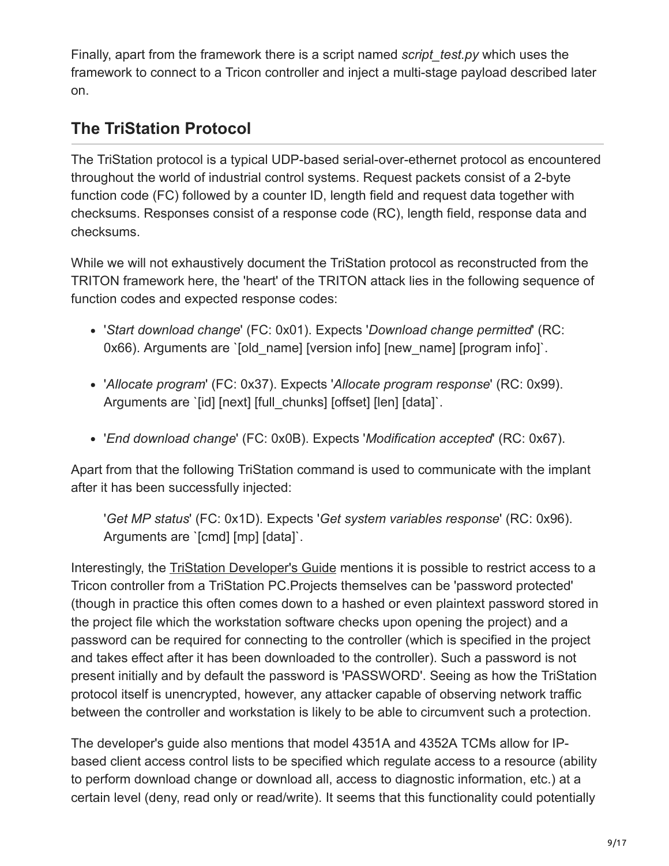Finally, apart from the framework there is a script named *script* test.py which uses the framework to connect to a Tricon controller and inject a multi-stage payload described later on.

## **The TriStation Protocol**

The TriStation protocol is a typical UDP-based serial-over-ethernet protocol as encountered throughout the world of industrial control systems. Request packets consist of a 2-byte function code (FC) followed by a counter ID, length field and request data together with checksums. Responses consist of a response code (RC), length field, response data and checksums.

While we will not exhaustively document the TriStation protocol as reconstructed from the TRITON framework here, the 'heart' of the TRITON attack lies in the following sequence of function codes and expected response codes:

- '*Start download change*' (FC: 0x01). Expects '*Download change permitted*' (RC: 0x66). Arguments are `[old\_name] [version info] [new\_name] [program info]`.
- '*Allocate program*' (FC: 0x37). Expects '*Allocate program response*' (RC: 0x99). Arguments are `[id] [next] [full\_chunks] [offset] [len] [data]`.
- '*End download change*' (FC: 0x0B). Expects '*Modification accepted*' (RC: 0x67).

Apart from that the following TriStation command is used to communicate with the implant after it has been successfully injected:

'*Get MP status*' (FC: 0x1D). Expects '*Get system variables response*' (RC: 0x96). Arguments are `[cmd] [mp] [data]`.

Interestingly, the [TriStation Developer's Guide](https://www.nrc.gov/docs/ML0932/ML093290423.pdf) mentions it is possible to restrict access to a Tricon controller from a TriStation PC.Projects themselves can be 'password protected' (though in practice this often comes down to a hashed or even plaintext password stored in the project file which the workstation software checks upon opening the project) and a password can be required for connecting to the controller (which is specified in the project and takes effect after it has been downloaded to the controller). Such a password is not present initially and by default the password is 'PASSWORD'. Seeing as how the TriStation protocol itself is unencrypted, however, any attacker capable of observing network traffic between the controller and workstation is likely to be able to circumvent such a protection.

The developer's guide also mentions that model 4351A and 4352A TCMs allow for IPbased client access control lists to be specified which regulate access to a resource (ability to perform download change or download all, access to diagnostic information, etc.) at a certain level (deny, read only or read/write). It seems that this functionality could potentially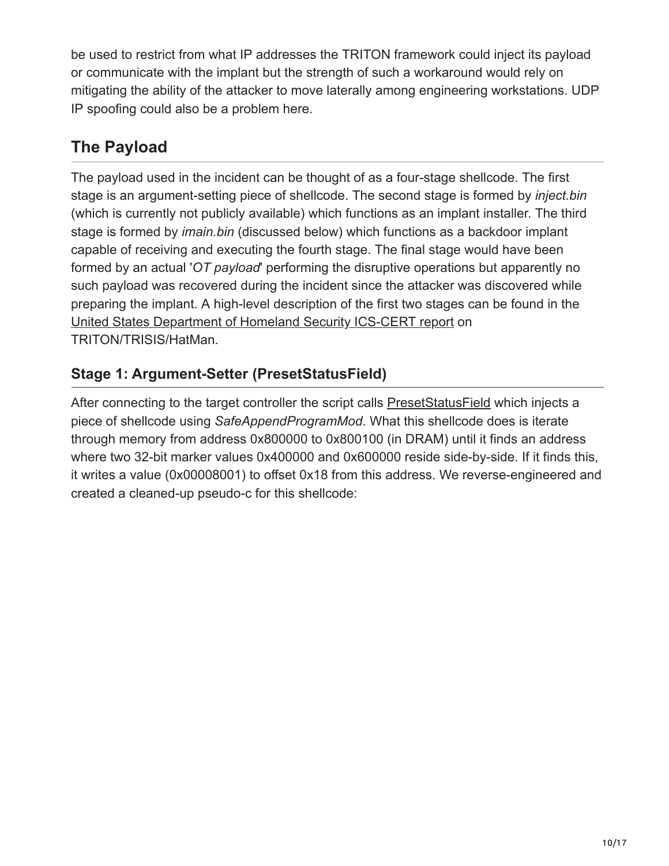be used to restrict from what IP addresses the TRITON framework could inject its payload or communicate with the implant but the strength of such a workaround would rely on mitigating the ability of the attacker to move laterally among engineering workstations. UDP IP spoofing could also be a problem here.

## **The Payload**

The payload used in the incident can be thought of as a four-stage shellcode. The first stage is an argument-setting piece of shellcode. The second stage is formed by *inject.bin* (which is currently not publicly available) which functions as an implant installer. The third stage is formed by *imain.bin* (discussed below) which functions as a backdoor implant capable of receiving and executing the fourth stage. The final stage would have been formed by an actual '*OT payload*' performing the disruptive operations but apparently no such payload was recovered during the incident since the attacker was discovered while preparing the implant. A high-level description of the first two stages can be found in the [United States Department of Homeland Security ICS-CERT report](https://ics-cert.us-cert.gov/sites/default/files/documents/MAR-17-352-01%20HatMan%E2%80%94Safety%20System%20Targeted%20Malware_S508C.pdf) on TRITON/TRISIS/HatMan.

#### **Stage 1: Argument-Setter (PresetStatusField)**

After connecting to the target controller the script calls [PresetStatusField](https://github.com/ICSrepo/TRISIS-TRITON-HATMAN/blob/c27fcae3dcb0d0ce36ddeef081851039c4a0658d/decompiled_code/script_test.py#L12) which injects a piece of shellcode using *SafeAppendProgramMod*. What this shellcode does is iterate through memory from address 0x800000 to 0x800100 (in DRAM) until it finds an address where two 32-bit marker values 0x400000 and 0x600000 reside side-by-side. If it finds this, it writes a value (0x00008001) to offset 0x18 from this address. We reverse-engineered and created a cleaned-up pseudo-c for this shellcode: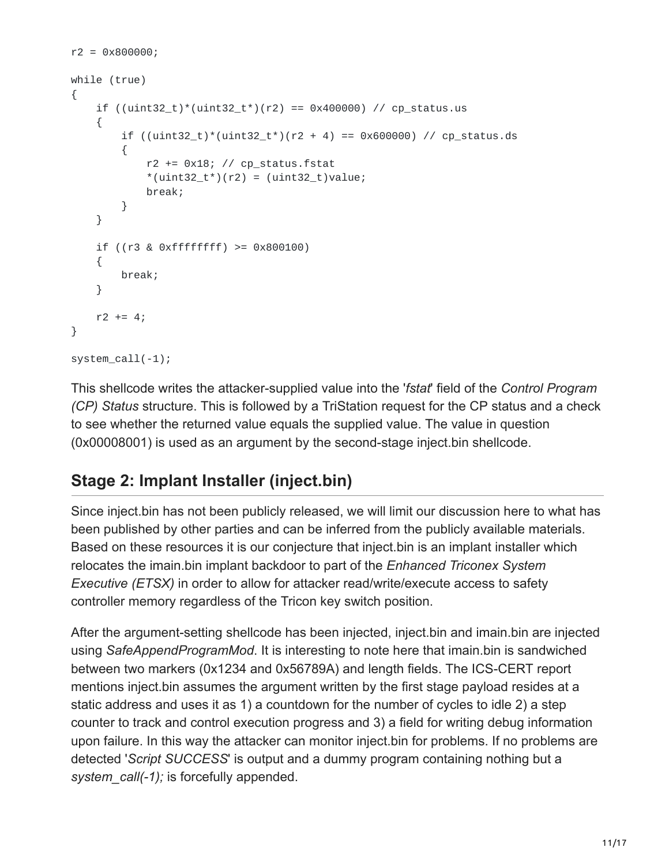```
r2 = 0 \times 800000;while (true)
{
    if ((uint32_t)^*(uint32_t^*)(r2) == 0x400000) // cp_status.us
    {
         if ((uint32_t)^*((uint32_t^*)(r2 + 4) == 0x600000) // cp_status.ds
         {
              r2 \leftrightarrow \exists 0x18; // cp_status.fstat
              *(uint32_t*) (r2) = (uint32_t) value;break;
         }
    }
    if ((r3 & 0xffffffff) >= 0x800100)
    {
         break;
    }
    r2 == 4;}
system_call(-1);
```
This shellcode writes the attacker-supplied value into the '*fstat*' field of the *Control Program (CP) Status* structure. This is followed by a TriStation request for the CP status and a check to see whether the returned value equals the supplied value. The value in question (0x00008001) is used as an argument by the second-stage inject.bin shellcode.

## **Stage 2: Implant Installer (inject.bin)**

Since inject.bin has not been publicly released, we will limit our discussion here to what has been published by other parties and can be inferred from the publicly available materials. Based on these resources it is our conjecture that inject.bin is an implant installer which relocates the imain.bin implant backdoor to part of the *Enhanced Triconex System Executive (ETSX)* in order to allow for attacker read/write/execute access to safety controller memory regardless of the Tricon key switch position.

After the argument-setting shellcode has been injected, inject.bin and imain.bin are injected using *SafeAppendProgramMod*. It is interesting to note here that imain.bin is sandwiched between two markers (0x1234 and 0x56789A) and length fields. The ICS-CERT report mentions inject.bin assumes the argument written by the first stage payload resides at a static address and uses it as 1) a countdown for the number of cycles to idle 2) a step counter to track and control execution progress and 3) a field for writing debug information upon failure. In this way the attacker can monitor inject.bin for problems. If no problems are detected '*Script SUCCESS*' is output and a dummy program containing nothing but a *system\_call(-1);* is forcefully appended.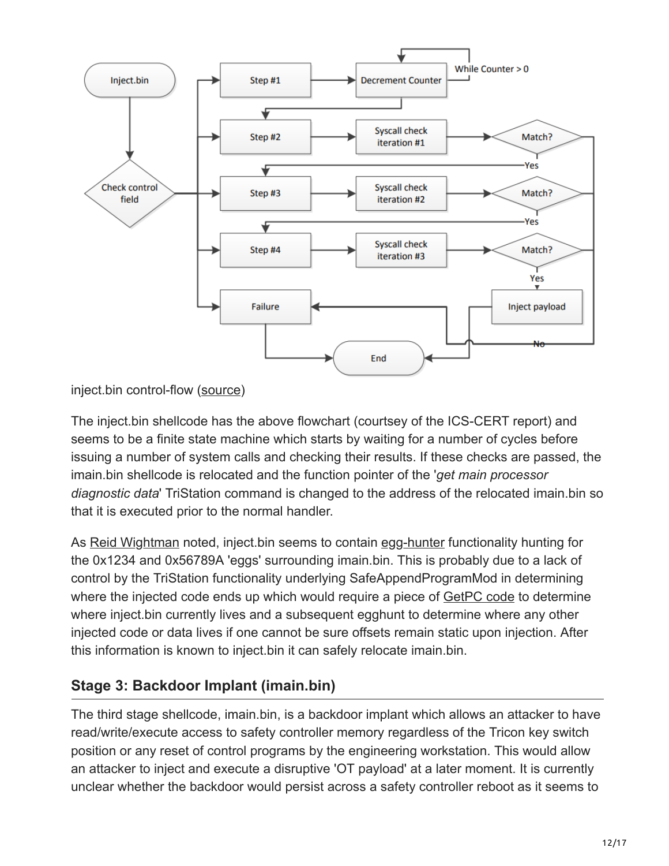

inject.bin control-flow [\(source](https://ics-cert.us-cert.gov/sites/default/files/documents/MAR-17-352-01%20HatMan%E2%80%94Safety%20System%20Targeted%20Malware_S508C.pdf))

The inject.bin shellcode has the above flowchart (courtsey of the ICS-CERT report) and seems to be a finite state machine which starts by waiting for a number of cycles before issuing a number of system calls and checking their results. If these checks are passed, the imain.bin shellcode is relocated and the function pointer of the '*get main processor diagnostic data*' TriStation command is changed to the address of the relocated imain.bin so that it is executed prior to the normal handler.

As [Reid Wightman](https://vimeo.com/248057640) noted, inject.bin seems to contain [egg-hunter](http://www.hick.org/code/skape/papers/egghunt-shellcode.pdf) functionality hunting for the 0x1234 and 0x56789A 'eggs' surrounding imain.bin. This is probably due to a lack of control by the TriStation functionality underlying SafeAppendProgramMod in determining where the injected code ends up which would require a piece of [GetPC code](https://nets.ec/Shellcode/Environment#GetPc) to determine where inject.bin currently lives and a subsequent egghunt to determine where any other injected code or data lives if one cannot be sure offsets remain static upon injection. After this information is known to inject.bin it can safely relocate imain.bin.

#### **Stage 3: Backdoor Implant (imain.bin)**

The third stage shellcode, imain.bin, is a backdoor implant which allows an attacker to have read/write/execute access to safety controller memory regardless of the Tricon key switch position or any reset of control programs by the engineering workstation. This would allow an attacker to inject and execute a disruptive 'OT payload' at a later moment. It is currently unclear whether the backdoor would persist across a safety controller reboot as it seems to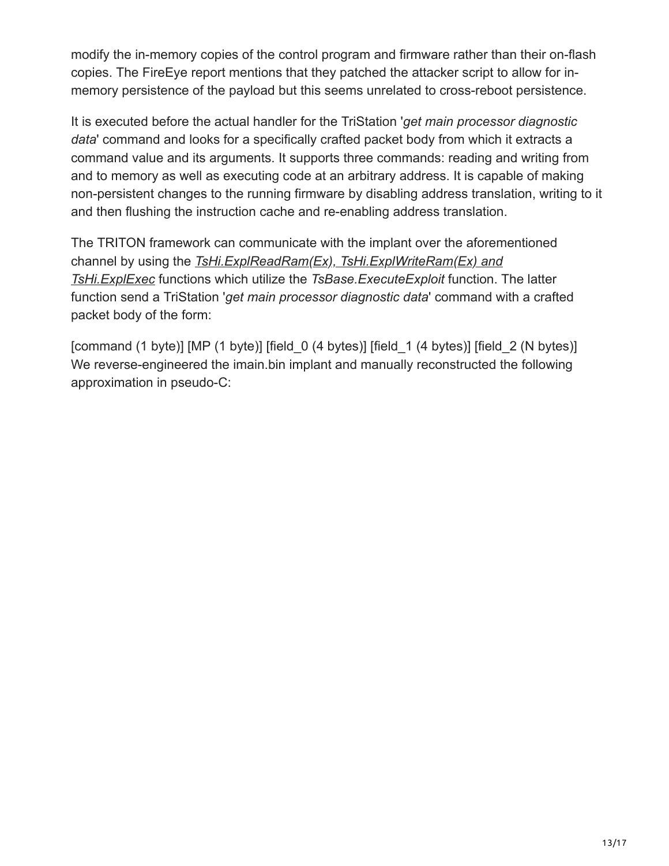modify the in-memory copies of the control program and firmware rather than their on-flash copies. The FireEye report mentions that they patched the attacker script to allow for inmemory persistence of the payload but this seems unrelated to cross-reboot persistence.

It is executed before the actual handler for the TriStation '*get main processor diagnostic data*' command and looks for a specifically crafted packet body from which it extracts a command value and its arguments. It supports three commands: reading and writing from and to memory as well as executing code at an arbitrary address. It is capable of making non-persistent changes to the running firmware by disabling address translation, writing to it and then flushing the instruction cache and re-enabling address translation.

The TRITON framework can communicate with the implant over the aforementioned channel by using the *[TsHi.ExplReadRam\(Ex\), TsHi.ExplWriteRam\(Ex\) and](https://github.com/ICSrepo/TRISIS-TRITON-HATMAN/blob/c27fcae3dcb0d0ce36ddeef081851039c4a0658d/decompiled_code/library/TsHi.py) TsHi.ExplExec* functions which utilize the *TsBase.ExecuteExploit* function. The latter function send a TriStation '*get main processor diagnostic data*' command with a crafted packet body of the form:

[command (1 byte)] [MP (1 byte)] [field 0 (4 bytes)] [field 1 (4 bytes)] [field 2 (N bytes)] We reverse-engineered the imain.bin implant and manually reconstructed the following approximation in pseudo-C: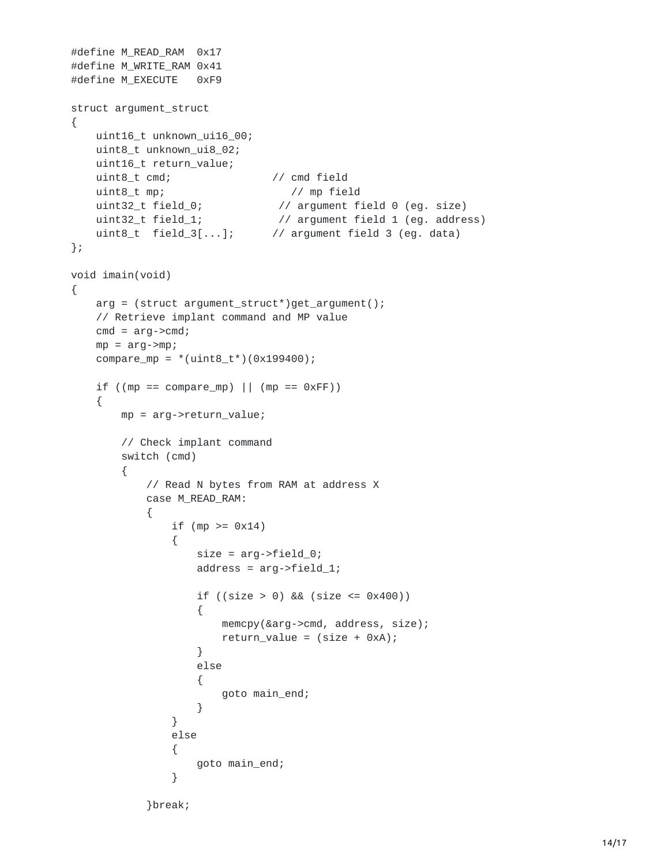```
#define M_READ_RAM 0x17
#define M_WRITE_RAM 0x41
#define M_EXECUTE 0xF9
struct argument_struct
{
   uint16_t unknown_ui16_00;
   uint8_t unknown_ui8_02;
   uint16_t return_value;
   uint8_t cmd; // cmd field
   uint8_t mp; // mp field
    uint32_t field_0; // argument field 0 (eg. size)
    uint32_t field_1; // argument field 1 (eg. address)
   uint8_t field_3[...]; // argument field 3 (eg. data)
};
void imain(void)
{
   arg = (struct argument_struct*)get_argument();
   // Retrieve implant command and MP value
   cmd = arg->cmd;mp = arg -mp;compare_mp = *{(uint8_t*)}(0x199400);if ((mp == compare_mp) || (mp == 0xFF)){
       mp = arg->return_value;
       // Check implant command
       switch (cmd)
       {
           // Read N bytes from RAM at address X
           case M_READ_RAM:
           {
               if (mp >= 0x14)
               {
                   size = arg->field_0;address = arg->field_1;if ((size > 0) && (size < = 0x400)){
                       memcpy(&arg->cmd, address, size);
                       return_value = (size + 0xA);}
                   else
                   {
                       goto main_end;
                   }
               }
               else
               {
                   goto main_end;
               }
           }break;
```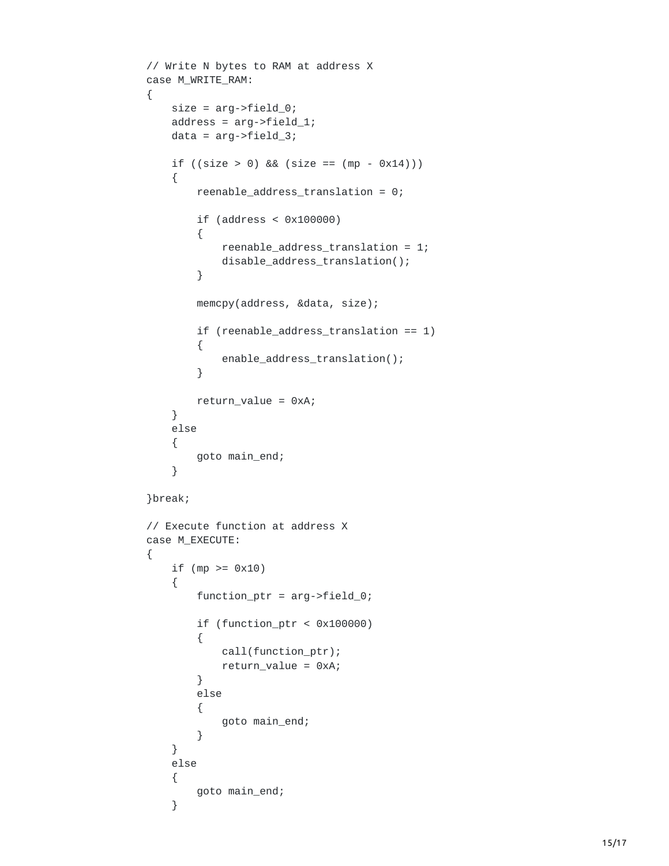```
// Write N bytes to RAM at address X
case M_WRITE_RAM:
{
    size = arg->field_0;address = arg->field_1;data = arg->field_3;if ((size > 0) & 8 & (size == (mp - 0x14))){
        reenable_address_translation = 0;
        if (address < 0x100000)
        {
            reenable_address_translation = 1;
            disable_address_translation();
        }
        memcpy(address, &data, size);
        if (reenable_address_translation == 1)
        {
            enable_address_translation();
        }
        return_value = 0xA;
    }
    else
    {
        goto main_end;
    }
}break;
// Execute function at address X
case M_EXECUTE:
{
    if (mp >= 0x10)
    {
        function_ptr = arg->field_0;
        if (function_ptr < 0x100000)
        {
            call(function_ptr);
            return_value = 0xA;
        }
        else
        {
            goto main_end;
        }
    }
    else
    {
        goto main_end;
    }
```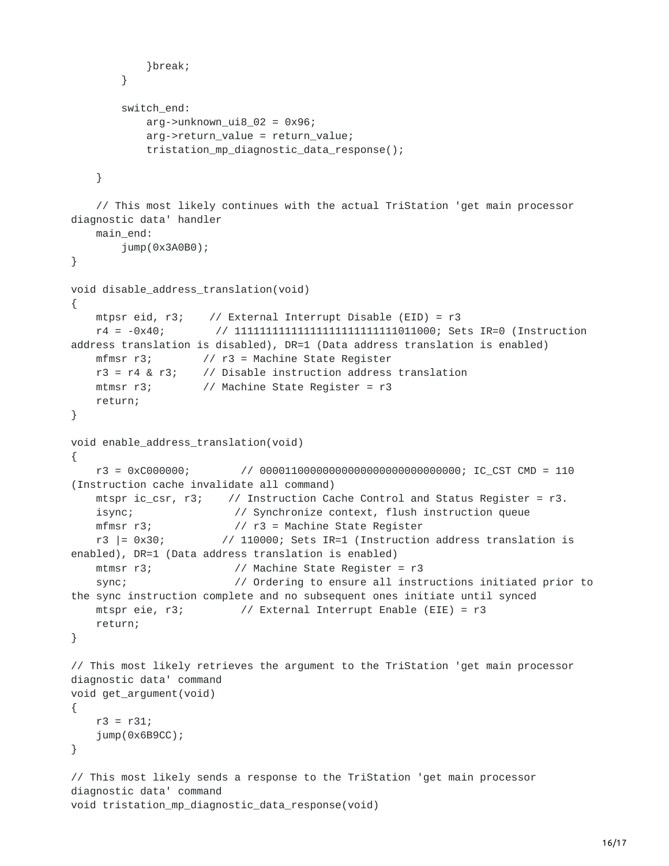```
}break;
       }
       switch_end:
           arg\text{-}sum{num\_u} = 02 = 0 \times 96;
           arg->return_value = return_value;
           tristation_mp_diagnostic_data_response();
    }
    // This most likely continues with the actual TriStation 'get main processor
diagnostic data' handler
   main_end:
       jump(0x3A0B0);
}
void disable_address_translation(void)
{
   mtpsr eid, r3; // External Interrupt Disable (EID) = r3
    r4 = -0x40; // 11111111111111111111111111011000; Sets IR=0 (Instruction
address translation is disabled), DR=1 (Data address translation is enabled)
   mfmsr r3; // r3 = Machine State Register
   r3 = r4 & r3; // Disable instruction address translation
   mtmsr r3; // Machine State Register = r3
   return;
}
void enable_address_translation(void)
{
    r3 = 0xC000000; // 00001100000000000000000000000000; IC_CST CMD = 110
(Instruction cache invalidate all command)
   mtspr ic_csr, r3; // Instruction Cache Control and Status Register = r3.
   isync; // Synchronize context, flush instruction queue
   mfmsr r3; // r3 = Machine State Register
                      // 110000; Sets IR=1 (Instruction address translation is
enabled), DR=1 (Data address translation is enabled)
   mtmsr r3; \frac{1}{2} // Machine State Register = r3
    sync; \frac{1}{2} // Ordering to ensure all instructions initiated prior to
the sync instruction complete and no subsequent ones initiate until synced
   mtspr eie, r3; // External Interrupt Enable (EIE) = r3
   return;
}
// This most likely retrieves the argument to the TriStation 'get main processor
diagnostic data' command
void get_argument(void)
{
    r3 = r31;jump(0x6B9CC);
}
// This most likely sends a response to the TriStation 'get main processor
diagnostic data' command
void tristation_mp_diagnostic_data_response(void)
```